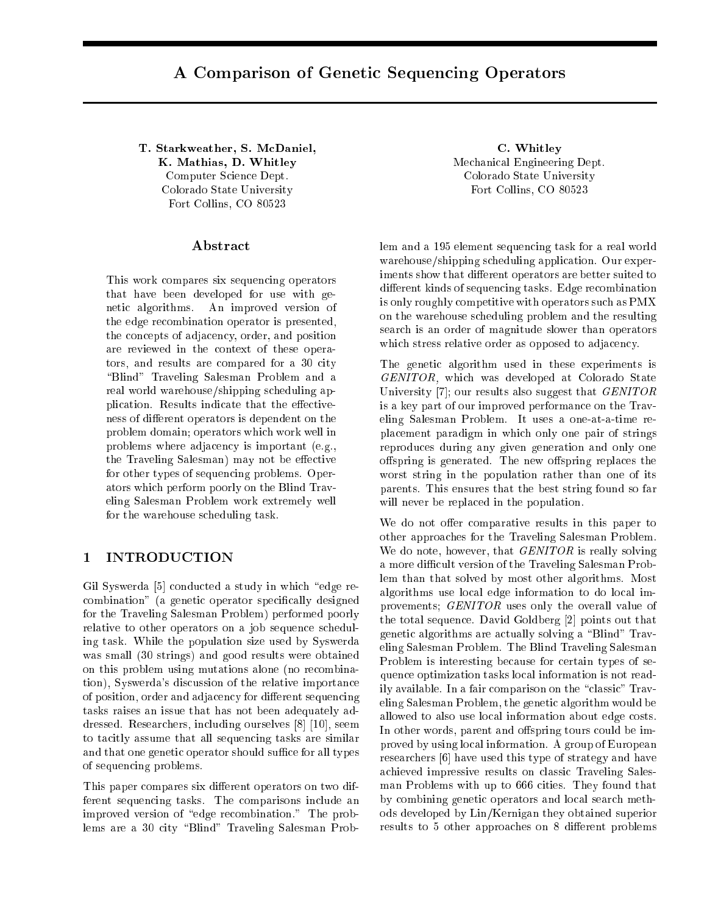# A Comparison of Genetic Sequencing Operators

T. Starkweather, S. McDaniel, C. Whitley K. Mathias, D. Whitley Mechanical Engineering Dept. Computer Science Dept. Colorado State University Colorado State University Fort Collins, CO 80523 Fort Collins, CO 80523

#### Abstract

This work compares six sequencing operators that have been developed for use with genetic algorithms. An improved version of the edge recombination operator is presented, the concepts of adjacency, order, and position are reviewed in the context of these operators, and results are compared for a 30 city "Blind" Traveling Salesman Problem and a real world warehouse/shipping scheduling application. Results indicate that the effectiveness of different operators is dependent on the problem domain; operators which work well in problems where adjacency is important (e.g., the Traveling Salesman) may not be effective for other types of sequencing problems. Operators which perform poorly on the Blind Traveling Salesman Problem work extremely well for the warehouse scheduling task.

#### 1 INTRODUCTION

Gil Syswerda [5] conducted a study in which "edge recombination" (a genetic operator specifically designed for the Traveling Salesman Problem) performed poorly relative to other operators on a job sequence scheduling task. While the population size used by Syswerda was small (30 strings) and good results were obtained on this problem using mutations alone (no recombination), Syswerda's discussion of the relative importance of position, order and adjacency for different sequencing tasks raises an issue that has not been adequately addressed. Researchers, including ourselves [8] [10], seem to tacitly assume that all sequencing tasks are similar and that one genetic operator should suffice for all types of sequencing problems.

This paper compares six different operators on two different sequencing tasks. The comparisons include an improved version of "edge recombination." The problems are a 30 city "Blind" Traveling Salesman Prob-

lem and a 195 element sequencing task for a real world warehouse/shipping scheduling application. Our experiments show that different operators are better suited to different kinds of sequencing tasks. Edge recombination is only roughly competitive with operators such as PMX on the warehouse scheduling problem and the resulting search is an order of magnitude slower than operators which stress relative order as opposed to adjacency.

The genetic algorithm used in these experiments is GENITOR, which was developed at Colorado State University [7]; our results also suggest that GENITOR is a key part of our improved performance on the Traveling Salesman Problem. It uses a one-at-a-time replacement paradigm in which only one pair of strings reproduces during any given generation and only one offspring is generated. The new offspring replaces the worst string in the population rather than one of its parents. This ensures that the best string found so far will never be replaced in the population.

We do not offer comparative results in this paper to other approaches for the Traveling Salesman Problem. We do note, however, that *GENITOR* is really solving a more difficult version of the Traveling Salesman Problem than that solved by most other algorithms. Most algorithms use local edge information to do local improvements; GENITOR uses only the overall value of the total sequence. David Goldberg [2] points out that genetic algorithms are actually solving a \Blind" Traveling Salesman Problem. The Blind Traveling Salesman Problem is interesting because for certain types of sequence optimization tasks local information is not readily available. In a fair comparison on the "classic" Traveling Salesman Problem, the genetic algorithm would be allowed to also use local information about edge costs. In other words, parent and offspring tours could be improved by using local information. A group of European researchers [6] have used this type of strategy and have achieved impressive results on classic Traveling Salesman Problems with up to 666 cities. They found that by combining genetic operators and local search methods developed by Lin/Kernigan they obtained superior results to 5 other approaches on 8 different problems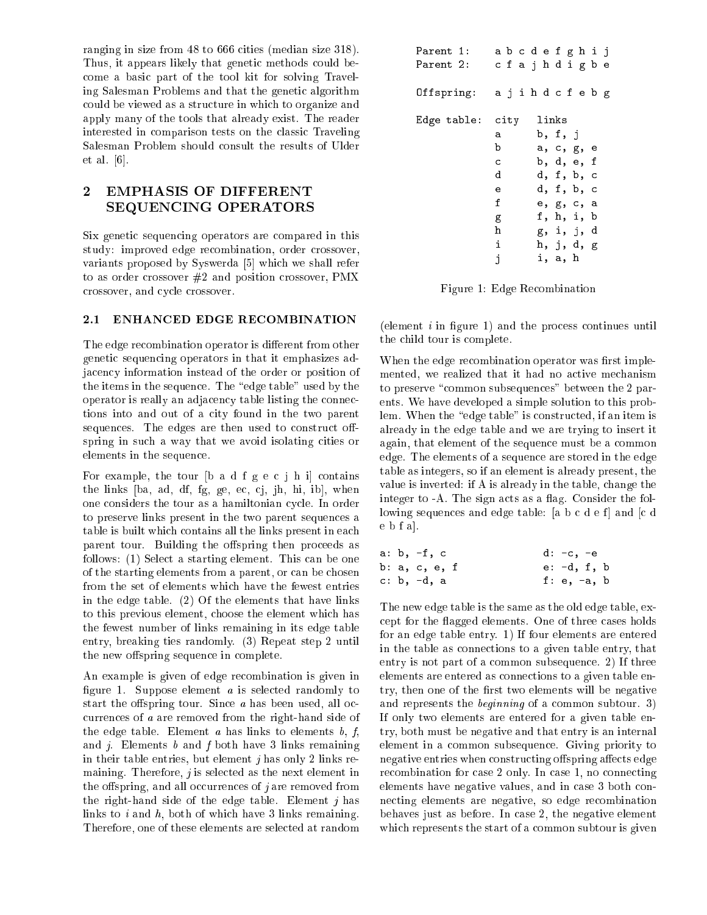ranging in size from 48 to 666 cities (median size 318). Thus, it appears likely that genetic methods could become a basic part of the tool kit for solving Traveling Salesman Problems and that the genetic algorithm could be viewed as a structure in which to organize and apply many of the tools that already exist. The reader interested in comparison tests on the classic Traveling Salesman Problem should consult the results of Ulder et al. [6].

## 2 EMPHASIS OF DIFFERENT SEQUENCING OPERATORS

Six genetic sequencing operators are compared in this study: improved edge recombination, order crossover, variants proposed by Syswerda [5] which we shall refer to as order crossover #2 and position crossover, PMX crossover, and cycle crossover.

#### 2.1 ENHANCED EDGE RECOMBINATION

The edge recombination operator is different from other genetic sequencing operators in that it emphasizes adjacency information instead of the order or position of the items in the sequence. The "edge table" used by the operator is really an adjacency table listing the connections into and out of a city found in the two parent sequences. The edges are then used to construct offspring in such a way that we avoid isolating cities or elements in the sequence.

For example, the tour [b a d f g e c j h i] contains the links [ba, ad, df, fg, ge, ec, cj, jh, hi, ib], when one considers the tour as a hamiltonian cycle. In order to preserve links present in the two parent sequences a table is built which contains all the links present in each parent tour. Building the offspring then proceeds as follows: (1) Select a starting element. This can be one of the starting elements from a parent, or can be chosen from the set of elements which have the fewest entries in the edge table. (2) Of the elements that have links to this previous element, choose the element which has the fewest number of links remaining in its edge table entry, breaking ties randomly. (3) Repeat step 2 until the new offspring sequence in complete.

An example is given of edge recombination is given in figure 1. Suppose element  $a$  is selected randomly to start the offspring tour. Since  $a$  has been used, all occurrences of a are removed from the right-hand side of the edge table. Element a has links to elements  $b, f$ , and  $j$ . Elements  $b$  and  $f$  both have 3 links remaining in their table entries, but element  $i$  has only 2 links remaining. Therefore,  $j$  is selected as the next element in the offspring, and all occurrences of  $j$  are removed from the right-hand side of the edge table. Element  $j$  has links to  $i$  and  $h$ , both of which have 3 links remaining. Therefore, one of these elements are selected at random

| Parent 1:<br>Parent 2: |   |  |  |         | abcdefghij<br>cfajhdigbe |  |
|------------------------|---|--|--|---------|--------------------------|--|
| Offspring:             |   |  |  |         | ajih d c f e b g         |  |
| Edge table: city       |   |  |  | links   |                          |  |
|                        | а |  |  | b, f, j |                          |  |
|                        | b |  |  |         | a, c, g, e               |  |
|                        | c |  |  |         | b, d, e, f               |  |
|                        | d |  |  |         | d, f, b, c               |  |
|                        | e |  |  |         | d, f, b, c               |  |
|                        | f |  |  |         | e, g, c, a               |  |
|                        | g |  |  |         | f, h, i, b               |  |
|                        | h |  |  |         | g, i, j, d               |  |
|                        | i |  |  |         | h, j, d, g               |  |
|                        | i |  |  | i, a, h |                          |  |

Figure 1: Edge Recombination

(element  $i$  in figure 1) and the process continues until the child tour is complete.

When the edge recombination operator was first implemented, we realized that it had no active mechanism to preserve "common subsequences" between the 2 parents. We have developed a simple solution to this problem. When the "edge table" is constructed, if an item is already in the edge table and we are trying to insert it again, that element of the sequence must be a common edge. The elements of a sequence are stored in the edge table as integers, so if an element is already present, the value is inverted: if A is already in the table, change the integer to  $-A$ . The sign acts as a flag. Consider the following sequences and edge table:  $[a, b, c, d, e, f]$  and  $[c, d, e]$ e b f a].

|  | a: b, -f, c   | d: -c, -e     |  |
|--|---------------|---------------|--|
|  | b: a, c, e, f | $e: -d, f, b$ |  |
|  | c: b, -d, a   | f: $e, -a, b$ |  |

The new edge table is the same as the old edge table, except for the agged elements. One of three cases holds for an edge table entry. 1) If four elements are entered in the table as connections to a given table entry, that entry is not part of a common subsequence. 2) If three elements are entered as connections to a given table entry, then one of the first two elements will be negative and represents the beginning of a common subtour. 3) If only two elements are entered for a given table entry, both must be negative and that entry is an internal element in a common subsequence. Giving priority to negative entries when constructing offspring affects edge recombination for case 2 only. In case 1, no connecting elements have negative values, and in case 3 both connecting elements are negative, so edge recombination behaves just as before. In case 2, the negative element which represents the start of a common subtour is given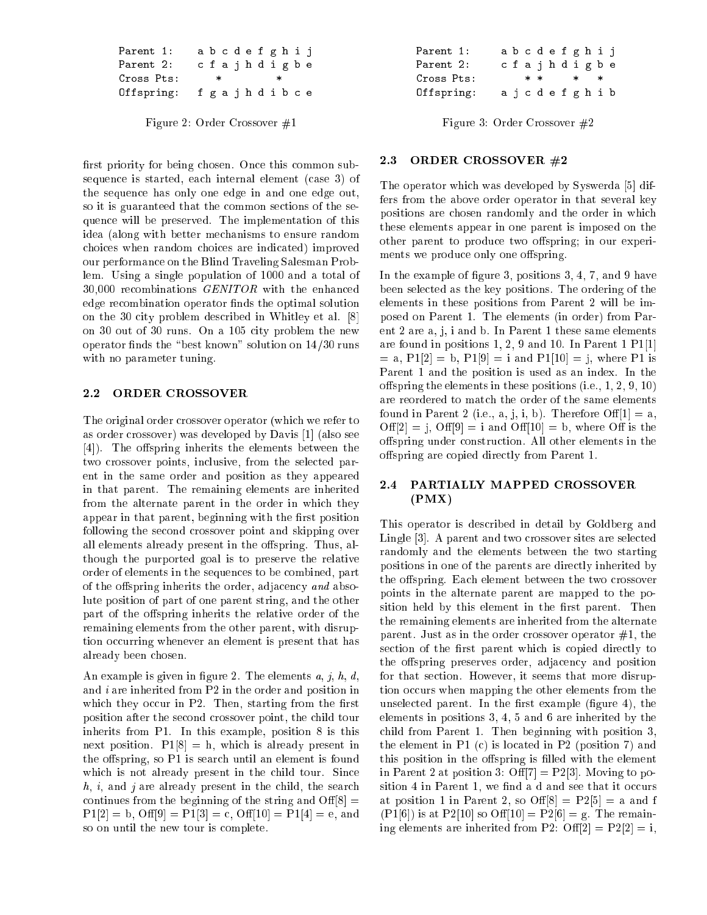| Parent 1:  |  |        |  |        | abcdefghij |  |
|------------|--|--------|--|--------|------------|--|
| Parent 2:  |  |        |  |        | cfajhdigbe |  |
|            |  | $\ast$ |  | $\ast$ |            |  |
| Cross Pts: |  |        |  |        |            |  |

Figure 2: Order Crossover #1

first priority for being chosen. Once this common subsequence is started, each internal element (case 3) of the sequence has only one edge in and one edge out, so it is guaranteed that the common sections of the sequence will be preserved. The implementation of this idea (along with better mechanisms to ensure random choices when random choices are indicated) improved our performance on the Blind Traveling Salesman Problem. Using a single population of 1000 and a total of  $30,000$  recombinations  $GENITOR$  with the enhanced edge recombination operator finds the optimal solution on the 30 city problem described in Whitley et al. [8] on 30 out of 30 runs. On a 105 city problem the new operator finds the "best known" solution on  $14/30$  runs with no parameter tuning.

### 2.2 ORDER CROSSOVER

The original order crossover operator (which we refer to as order crossover) was developed by Davis [1] (also see [4]). The offspring inherits the elements between the two crossover points, inclusive, from the selected parent in the same order and position as they appeared in that parent. The remaining elements are inherited from the alternate parent in the order in which they appear in that parent, beginning with the first position following the second crossover point and skipping over all elements already present in the offspring. Thus, although the purported goal is to preserve the relative order of elements in the sequences to be combined, part of the offspring inherits the order, adjacency and absolute position of part of one parent string, and the other part of the offspring inherits the relative order of the remaining elements from the other parent, with disruption occurring whenever an element is present that has already been chosen.

An example is given in figure 2. The elements  $a, j, h, d$ , and i are inherited from P2 in the order and position in which they occur in  $P2$ . Then, starting from the first position after the second crossover point, the child tour inherits from P1. In this example, position 8 is this next position.  $P1[8] = h$ , which is already present in the offspring, so  $P1$  is search until an element is found which is not already present in the child tour. Since  $h, i$ , and j are already present in the child, the search continues from the beginning of the string and  $\text{Off}[8] =$  $P1[2] = b$ ,  $\text{Off}[9] = P1[3] = c$ ,  $\text{Off}[10] = P1[4] = e$ , and so on until the new tour is complete.

| Parent 1:  | abcdefghij |  |  |  |        |  |
|------------|------------|--|--|--|--------|--|
| Parent 2:  | cfajhdigbe |  |  |  |        |  |
|            |            |  |  |  |        |  |
| Cross Pts: | $* *$ *    |  |  |  | $\ast$ |  |

Figure 3: Order Crossover #2

#### 2.3 ORDER CROSSOVER #2

The operator which was developed by Syswerda [5] differs from the above order operator in that several key positions are chosen randomly and the order in which these elements appear in one parent is imposed on the other parent to produce two offspring; in our experiments we produce only one offspring.

In the example of figure 3, positions 3, 4, 7, and 9 have been selected as the key positions. The ordering of the elements in these positions from Parent 2 will be imposed on Parent 1. The elements (in order) from Parent 2 are a, j, i and b. In Parent 1 these same elements are found in positions 1, 2, 9 and 10. In Parent 1 P1[1]  $=$  a, P1[2]  $=$  b, P1[9]  $=$  i and P1[10]  $=$  j, where P1 is Parent 1 and the position is used as an index. In the offspring the elements in these positions (i.e.,  $1, 2, 9, 10$ ) are reordered to match the order of the same elements found in Parent 2 (i.e., a, j, i, b). Therefore  $\text{Off}[1] = \text{a}$ , Off[2] = j, Off[9] = i and Off[10] = b, where Off is the offspring under construction. All other elements in the offspring are copied directly from Parent 1.

### 2.4 PARTIALLY MAPPED CROSSOVER  $(PMX)$

This operator is described in detail by Goldberg and Lingle [3]. A parent and two crossover sites are selected randomly and the elements between the two starting positions in one of the parents are directly inherited by the offspring. Each element between the two crossover points in the alternate parent are mapped to the position held by this element in the first parent. Then the remaining elements are inherited from the alternate parent. Just as in the order crossover operator  $#1$ , the section of the first parent which is copied directly to the offspring preserves order, adjacency and position for that section. However, it seems that more disruption occurs when mapping the other elements from the unselected parent. In the first example (figure  $4$ ), the elements in positions 3, 4, 5 and 6 are inherited by the child from Parent 1. Then beginning with position 3, the element in P1 (c) is located in P2 (position 7) and this position in the offspring is filled with the element in Parent 2 at position 3: Off $[7] = P2[3]$ . Moving to position 4 in Parent 1, we find a d and see that it occurs at position 1 in Parent 2, so  $\text{Off}[8] = \text{P2}[5] = \text{a}$  and f  $(PI[6])$  is at P2[10] so Off[10] = P2[6] = g. The remaining elements are inherited from P2:  $\text{Off}[2] = \text{P2}[2] = i$ ,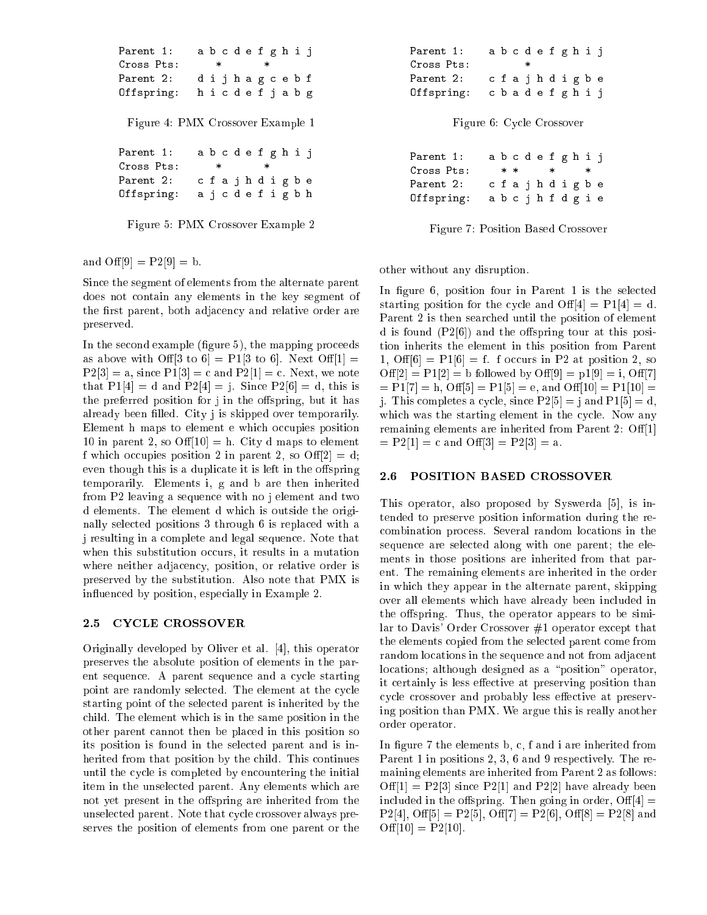```
Parent 1:
               1: a b c d e f g h i j
Cross Pts:
                 \pmb{*} * *
Parent 2:
               2: d i j h a g c e b f
Offspring: h i c d e f j a b g
 Figure 4: PMX Crossover Example 1
Parent 1:
               1: a b c d e f g h i j
Parent 2: c f a j h d i g b e
Offspring: a j c d e f i g b h
```
Figure 5: PMX Crossover Example 2

and  $\text{Off}[9] = P2[9] = b$ .

Since the segment of elements from the alternate parent does not contain any elements in the key segment of the first parent, both adjacency and relative order are preserved.

In the second example (figure  $5$ ), the mapping proceeds as above with Off[3 to 6] = P1[3 to 6]. Next Off[1] =  $P2[3] = a$ , since  $P1[3] = c$  and  $P2[1] = c$ . Next, we note that  $P1[4] = d$  and  $P2[4] = j$ . Since  $P2[6] = d$ , this is the preferred position for j in the offspring, but it has already been filled. City j is skipped over temporarily. Element h maps to element e which occupies position 10 in parent 2, so  $\text{Off}(10) = h$ . City d maps to element f which occupies position 2 in parent 2, so  $\text{Off}[2] = d$ ; even though this is a duplicate it is left in the offspring temporarily. Elements i, g and b are then inherited from P2 leaving a sequence with no j element and two d elements. The element d which is outside the originally selected positions 3 through 6 is replaced with a j resulting in a complete and legal sequence. Note that when this substitution occurs, it results in a mutation where neither adjacency, position, or relative order is preserved by the substitution. Also note that PMX is in
uenced by position, especially in Example 2.

## 2.5 CYCLE CROSSOVER

Originally developed by Oliver et al. [4], this operator preserves the absolute position of elements in the parent sequence. A parent sequence and a cycle starting point are randomly selected. The element at the cycle starting point of the selected parent is inherited by the child. The element which is in the same position in the other parent cannot then be placed in this position so its position is found in the selected parent and is inherited from that position by the child. This continues until the cycle is completed by encountering the initial item in the unselected parent. Any elements which are not yet present in the offspring are inherited from the unselected parent. Note that cycle crossover always preserves the position of elements from one parent or the

| Parent 1:  |  |   |  | abcdefghij |  |
|------------|--|---|--|------------|--|
| Cross Pts: |  | * |  |            |  |
|            |  |   |  |            |  |
| Parent 2:  |  |   |  | cfajhdigbe |  |

Figure 6: Cycle Crossover

| Parent 1:<br>Cross Pts: |  |  | abcdefghij               |  | $\ast$ |  |
|-------------------------|--|--|--------------------------|--|--------|--|
| Parent 2:<br>Offspring: |  |  | cfajhdigbe<br>abcjhfdgie |  |        |  |

Figure 7: Position Based Crossover

other without any disruption.

In figure 6, position four in Parent 1 is the selected starting position for the cycle and Off $[4] = P1[4] = d$ . Parent 2 is then searched until the position of element d is found  $(P2[6])$  and the offspring tour at this position inherits the element in this position from Parent 1, Off $[6] = P1[6] = f$ . f occurs in P2 at position 2, so  $\text{Off}[2] = \text{P1}[2] = \text{b followed by } \text{Off}[9] = \text{p1}[9] = \text{i}, \text{Off}[7]$  $= P1[7] = h$ , Off[5] = P1[5] = e, and Off[10] = P1[10] = j. This completes a cycle, since  $P2[5] = j$  and  $P1[5] = d$ , which was the starting element in the cycle. Now any remaining elements are inherited from Parent 2: Off[1]  $=$  P2[1]  $=$  c and Off[3]  $=$  P2[3]  $=$  a.

### 2.6 POSITION BASED CROSSOVER

This operator, also proposed by Syswerda [5], is intended to preserve position information during the recombination process. Several random locations in the sequence are selected along with one parent; the elements in those positions are inherited from that parent. The remaining elements are inherited in the order in which they appear in the alternate parent, skipping over all elements which have already been included in the offspring. Thus, the operator appears to be similar to Davis' Order Crossover #1 operator except that the elements copied from the selected parent come from random locations in the sequence and not from adjacent locations; although designed as a "position" operator, it certainly is less effective at preserving position than cycle crossover and probably less effective at preserving position than PMX. We argue this is really another order operator.

In figure  $7$  the elements b, c, f and i are inherited from Parent 1 in positions 2, 3, 6 and 9 respectively. The remaining elements are inherited from Parent 2 as follows:  $\text{Off}[1] = \text{P2}[3]$  since  $\text{P2}[1]$  and  $\text{P2}[2]$  have already been included in the offspring. Then going in order,  $\text{Off}[4] =$ P2[4], Off[5] = P2[5], Off[7] = P2[6], Off[8] = P2[8] and  $\text{Off}[10] = \text{P2}[10].$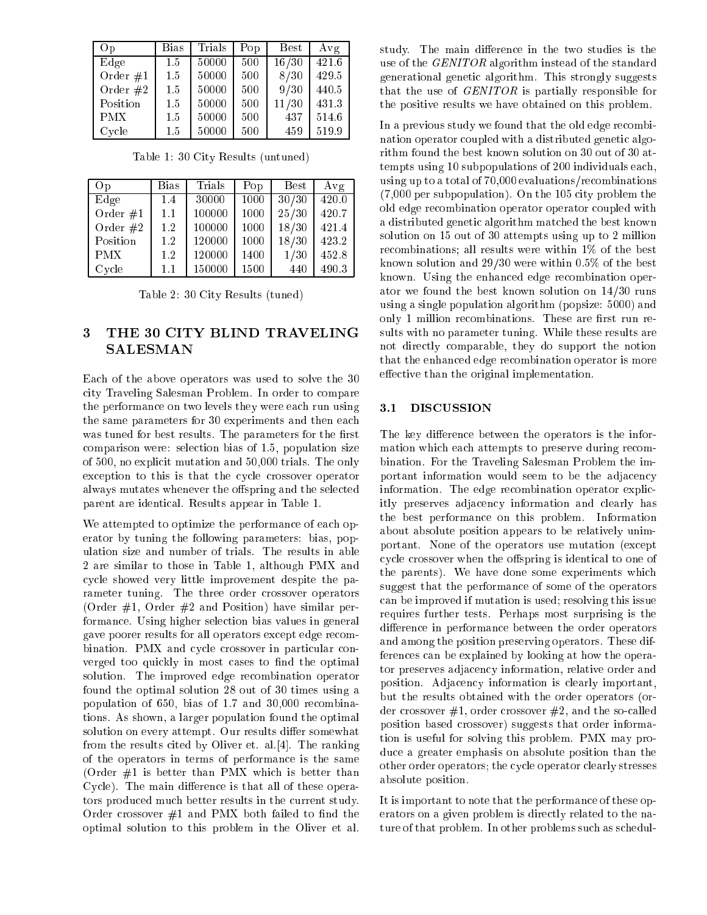| O <sub>p</sub> | <b>Bias</b> | Trials | Pop | <b>Best</b> | Avg   |
|----------------|-------------|--------|-----|-------------|-------|
| Edge           | 1.5         | 50000  | 500 | 16/30       | 421.6 |
| Order $#1$     | 1.5         | 50000  | 500 | 8/30        | 429.5 |
| Order $#2$     | 1.5         | 50000  | 500 | 9/30        | 440.5 |
| Position       | 1.5         | 50000  | 500 | 11/30       | 431.3 |
| <b>PMX</b>     | 1.5         | 50000  | 500 | 437         | 514.6 |
| Cycle          | 1.5         | 50000  | 500 | 459         | 519.9 |

| Op         | <b>Bias</b> | Trials | Pop  | <b>Best</b> | Avg   |
|------------|-------------|--------|------|-------------|-------|
| Edge       | 1.4         | 30000  | 1000 | 30/30       | 420.0 |
| Order $#1$ | 1.1         | 100000 | 1000 | 25/30       | 420.7 |
| Order $#2$ | 1.2         | 100000 | 1000 | 18/30       | 421.4 |
| Position   | 1.2         | 120000 | 1000 | 18/30       | 423.2 |
| <b>PMX</b> | 1.2         | 120000 | 1400 | 1/30        | 452.8 |
| Cycle      | 1.1         | 150000 | 1500 | 440         | 490.3 |

Table 1: 30 City Results (untuned)

Table 2: 30 City Results (tuned)

## 3 THE 30 CITY BLIND TRAVELING SALESMAN

Each of the above operators was used to solve the 30 city Traveling Salesman Problem. In order to compare the performance on two levels they were each run using the same parameters for 30 experiments and then each was tuned for best results. The parameters for the first comparison were: selection bias of 1.5, population size of 500, no explicit mutation and 50,000 trials. The only exception to this is that the cycle crossover operator always mutates whenever the offspring and the selected parent are identical. Results appear in Table 1.

We attempted to optimize the performance of each operator by tuning the following parameters: bias, population size and number of trials. The results in able 2 are similar to those in Table 1, although PMX and cycle showed very little improvement despite the parameter tuning. The three order crossover operators (Order  $#1$ , Order  $#2$  and Position) have similar performance. Using higher selection bias values in general gave poorer results for all operators except edge recombination. PMX and cycle crossover in particular converged too quickly in most cases to find the optimal solution. The improved edge recombination operator found the optimal solution 28 out of 30 times using a population of 650, bias of 1.7 and 30,000 recombinations. As shown, a larger population found the optimal solution on every attempt. Our results differ somewhat from the results cited by Oliver et. al.[4]. The ranking of the operators in terms of performance is the same (Order  $#1$  is better than PMX which is better than Cycle). The main difference is that all of these operators produced much better results in the current study. Order crossover  $#1$  and PMX both failed to find the optimal solution to this problem in the Oliver et al. study. The main difference in the two studies is the use of the GENITOR algorithm instead of the standard generational genetic algorithm. This strongly suggests that the use of GENITOR is partially responsible for the positive results we have obtained on this problem.

In a previous study we found that the old edge recombination operator coupled with a distributed genetic algorithm found the best known solution on 30 out of 30 attempts using 10 subpopulations of 200 individuals each, using up to a total of 70,000 evaluations/recombinations (7,000 per subpopulation). On the 105 city problem the old edge recombination operator operator coupled with a distributed genetic algorithm matched the best known solution on 15 out of 30 attempts using up to 2 million recombinations; all results were within 1% of the best known solution and 29/30 were within 0.5% of the best known. Using the enhanced edge recombination operator we found the best known solution on 14/30 runs using a single population algorithm (popsize: 5000) and only 1 million recombinations. These are first run results with no parameter tuning. While these results are not directly comparable, they do support the notion that the enhanced edge recombination operator is more effective than the original implementation.

## 3.1 DISCUSSION

The key difference between the operators is the information which each attempts to preserve during recombination. For the Traveling Salesman Problem the important information would seem to be the adjacency information. The edge recombination operator explicitly preserves adjacency information and clearly has the best performance on this problem. Information about absolute position appears to be relatively unimportant. None of the operators use mutation (except cycle crossover when the offspring is identical to one of the parents). We have done some experiments which suggest that the performance of some of the operators can be improved if mutation is used; resolving this issue requires further tests. Perhaps most surprising is the difference in performance between the order operators and among the position preserving operators. These differences can be explained by looking at how the operator preserves adjacency information, relative order and position. Adjacency information is clearly important, but the results obtained with the order operators (order crossover  $#1$ , order crossover  $#2$ , and the so-called position based crossover) suggests that order information is useful for solving this problem. PMX may produce a greater emphasis on absolute position than the other order operators; the cycle operator clearly stresses absolute position.

It is important to note that the performance of these operators on a given problem is directly related to the nature of that problem. In other problems such as schedul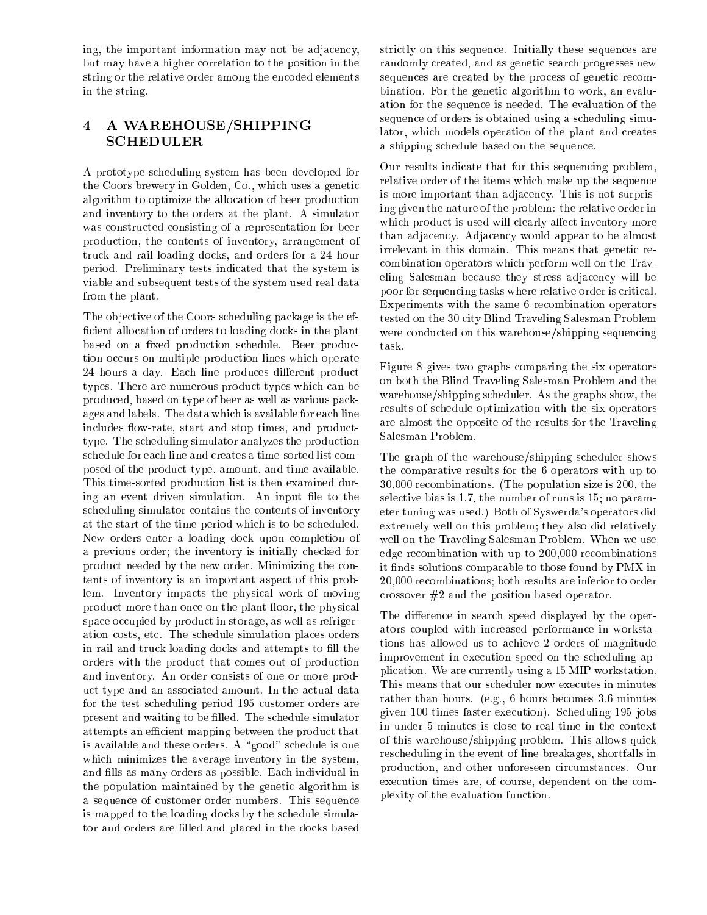ing, the important information may not be adjacency, but may have a higher correlation to the position in the string or the relative order among the encoded elements in the string.

# <sup>4</sup> <sup>A</sup> WAREHOUSE/SHIPPING SCHEDULER

A prototype scheduling system has been developed for the Coors brewery in Golden, Co., which uses a genetic algorithm to optimize the allocation of beer production and inventory to the orders at the plant. A simulator was constructed consisting of a representation for beer production, the contents of inventory, arrangement of truck and rail loading docks, and orders for a 24 hour period. Preliminary tests indicated that the system is viable and subsequent tests of the system used real data from the plant.

The objective of the Coors scheduling package is the efficient allocation of orders to loading docks in the plant based on a fixed production schedule. Beer production occurs on multiple production lines which operate 24 hours a day. Each line produces different product types. There are numerous product types which can be produced, based on type of beer as well as various packages and labels. The data which is available for each line includes flow-rate, start and stop times, and producttype. The scheduling simulator analyzes the production schedule for each line and creates a time-sorted list composed of the product-type, amount, and time available. This time-sorted production list is then examined during an event driven simulation. An input file to the scheduling simulator contains the contents of inventory at the start of the time-period which is to be scheduled. New orders enter a loading dock upon completion of a previous order; the inventory is initially checked for product needed by the new order. Minimizing the contents of inventory is an important aspect of this problem. Inventory impacts the physical work of moving product more than once on the plant floor, the physical space occupied by product in storage, as well as refrigeration costs, etc. The schedule simulation places orders in rail and truck loading docks and attempts to fill the orders with the product that comes out of production and inventory. An order consists of one or more product type and an associated amount. In the actual data for the test scheduling period 195 customer orders are present and waiting to be filled. The schedule simulator attempts an efficient mapping between the product that is available and these orders. A "good" schedule is one which minimizes the average inventory in the system, and fills as many orders as possible. Each individual in the population maintained by the genetic algorithm is a sequence of customer order numbers. This sequence is mapped to the loading docks by the schedule simulator and orders are filled and placed in the docks based strictly on this sequence. Initially these sequences are randomly created, and as genetic search progresses new sequences are created by the process of genetic recombination. For the genetic algorithm to work, an evaluation for the sequence is needed. The evaluation of the sequence of orders is obtained using a scheduling simulator, which models operation of the plant and creates a shipping schedule based on the sequence.

Our results indicate that for this sequencing problem, relative order of the items which make up the sequence is more important than adjacency. This is not surprising given the nature of the problem: the relative order in which product is used will clearly affect inventory more than adjacency. Adjacency would appear to be almost irrelevant in this domain. This means that genetic recombination operators which perform well on the Traveling Salesman because they stress adjacency will be poor for sequencing tasks where relative order is critical. Experiments with the same 6 recombination operators tested on the 30 city Blind Traveling Salesman Problem were conducted on this warehouse/shipping sequencing task.

Figure 8 gives two graphs comparing the six operators on both the Blind Traveling Salesman Problem and the warehouse/shipping scheduler. As the graphs show, the results of schedule optimization with the six operators are almost the opposite of the results for the Traveling Salesman Problem.

The graph of the warehouse/shipping scheduler shows the comparative results for the 6 operators with up to 30,000 recombinations. (The population size is 200, the selective bias is 1.7, the number of runs is 15; no parameter tuning was used.) Both of Syswerda's operators did extremely well on this problem; they also did relatively well on the Traveling Salesman Problem. When we use edge recombination with up to 200,000 recombinations it finds solutions comparable to those found by PMX in 20,000 recombinations; both results are inferior to order crossover #2 and the position based operator.

The difference in search speed displayed by the operators coupled with increased performance in workstations has allowed us to achieve 2 orders of magnitude improvement in execution speed on the scheduling application. We are currently using a 15 MIP workstation. This means that our scheduler now executes in minutes rather than hours. (e.g., 6 hours becomes 3.6 minutes given 100 times faster execution). Scheduling 195 jobs in under 5 minutes is close to real time in the context of this warehouse/shipping problem. This allows quick rescheduling in the event of line breakages, shortfalls in production, and other unforeseen circumstances. Our execution times are, of course, dependent on the complexity of the evaluation function.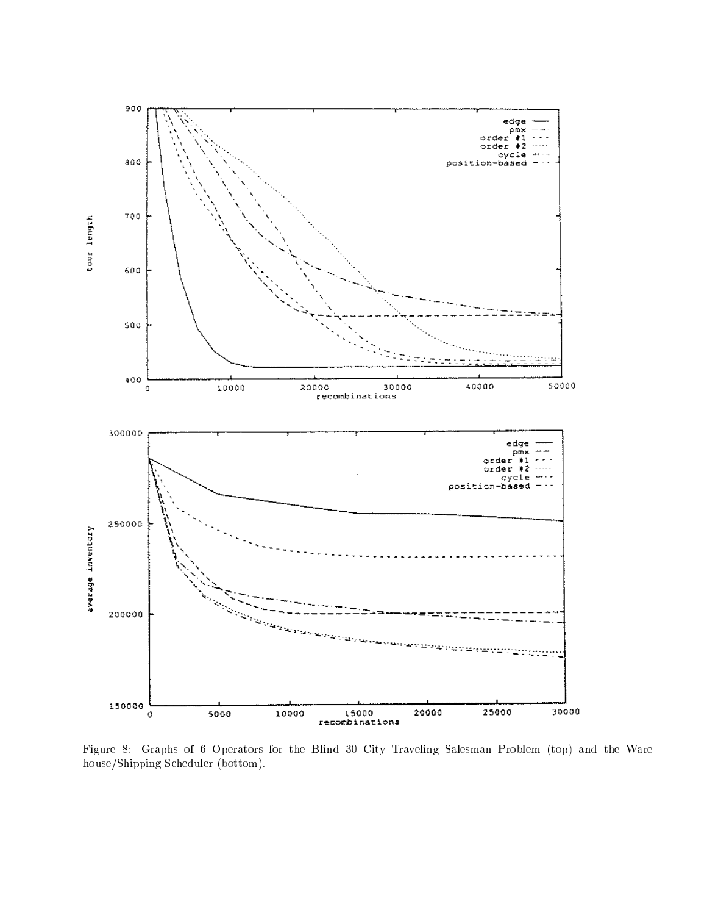

Figure 8: Graphs of 6 Operators for the Blind 30 City Traveling Salesman Problem (top) and the Warehouse/Shipping Scheduler (bottom).